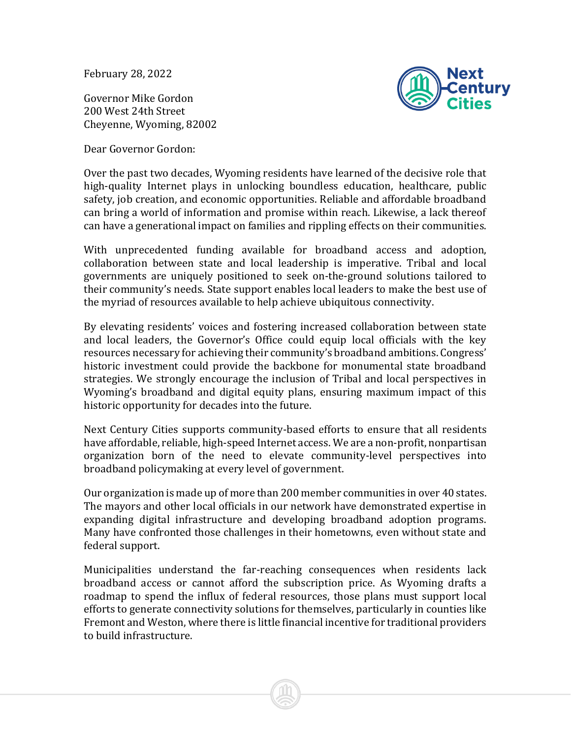February 28, 2022

Governor Mike Gordon 200 West 24th Street Cheyenne, Wyoming, 82002



Dear Governor Gordon:

Over the past two decades, Wyoming residents have learned of the decisive role that high-quality Internet plays in unlocking boundless education, healthcare, public safety, job creation, and economic opportunities. Reliable and affordable broadband can bring a world of information and promise within reach. Likewise, a lack thereof can have a generational impact on families and rippling effects on their communities.

With unprecedented funding available for broadband access and adoption, collaboration between state and local leadership is imperative. Tribal and local governments are uniquely positioned to seek on-the-ground solutions tailored to their community's needs. State support enables local leaders to make the best use of the myriad of resources available to help achieve ubiquitous connectivity.

By elevating residents' voices and fostering increased collaboration between state and local leaders, the Governor's Office could equip local officials with the key resources necessary for achieving their community's broadband ambitions. Congress' historic investment could provide the backbone for monumental state broadband strategies. We strongly encourage the inclusion of Tribal and local perspectives in Wyoming's broadband and digital equity plans, ensuring maximum impact of this historic opportunity for decades into the future.

Next Century Cities supports community-based efforts to ensure that all residents have affordable, reliable, high-speed Internet access. We are a non-profit, nonpartisan organization born of the need to elevate community-level perspectives into broadband policymaking at every level of government.

Our organization is made up of more than 200 member communities in over 40 states. The mayors and other local officials in our network have demonstrated expertise in expanding digital infrastructure and developing broadband adoption programs. Many have confronted those challenges in their hometowns, even without state and federal support.

Municipalities understand the far-reaching consequences when residents lack broadband access or cannot afford the subscription price. As Wyoming drafts a roadmap to spend the influx of federal resources, those plans must support local efforts to generate connectivity solutions for themselves, particularly in counties like Fremont and Weston, where there is little financial incentive for traditional providers to build infrastructure.